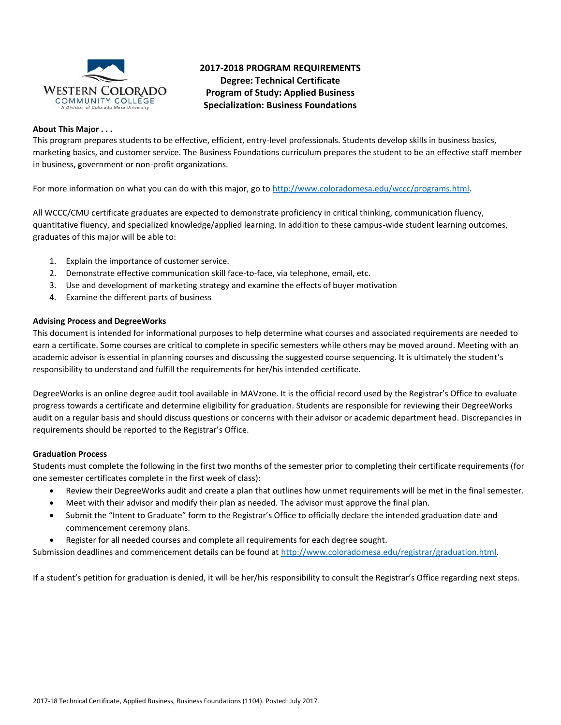

## **2017-2018 PROGRAM REQUIREMENTS Degree: Technical Certificate Program of Study: Applied Business Specialization: Business Foundations**

#### **About This Major . . .**

This program prepares students to be effective, efficient, entry-level professionals. Students develop skills in business basics, marketing basics, and customer service. The Business Foundations curriculum prepares the student to be an effective staff member in business, government or non-profit organizations.

For more information on what you can do with this major, go to [http://www.coloradomesa.edu/wccc/programs.html.](http://www.coloradomesa.edu/wccc/programs.html)

All WCCC/CMU certificate graduates are expected to demonstrate proficiency in critical thinking, communication fluency, quantitative fluency, and specialized knowledge/applied learning. In addition to these campus-wide student learning outcomes, graduates of this major will be able to:

- 1. Explain the importance of customer service.
- 2. Demonstrate effective communication skill face-to-face, via telephone, email, etc.
- 3. Use and development of marketing strategy and examine the effects of buyer motivation
- 4. Examine the different parts of business

### **Advising Process and DegreeWorks**

This document is intended for informational purposes to help determine what courses and associated requirements are needed to earn a certificate. Some courses are critical to complete in specific semesters while others may be moved around. Meeting with an academic advisor is essential in planning courses and discussing the suggested course sequencing. It is ultimately the student's responsibility to understand and fulfill the requirements for her/his intended certificate.

DegreeWorks is an online degree audit tool available in MAVzone. It is the official record used by the Registrar's Office to evaluate progress towards a certificate and determine eligibility for graduation. Students are responsible for reviewing their DegreeWorks audit on a regular basis and should discuss questions or concerns with their advisor or academic department head. Discrepancies in requirements should be reported to the Registrar's Office.

### **Graduation Process**

Students must complete the following in the first two months of the semester prior to completing their certificate requirements (for one semester certificates complete in the first week of class):

- Review their DegreeWorks audit and create a plan that outlines how unmet requirements will be met in the final semester.
- Meet with their advisor and modify their plan as needed. The advisor must approve the final plan.
- Submit the "Intent to Graduate" form to the Registrar's Office to officially declare the intended graduation date and commencement ceremony plans.
- Register for all needed courses and complete all requirements for each degree sought.

Submission deadlines and commencement details can be found at [http://www.coloradomesa.edu/registrar/graduation.html.](http://www.coloradomesa.edu/registrar/graduation.html)

If a student's petition for graduation is denied, it will be her/his responsibility to consult the Registrar's Office regarding next steps.